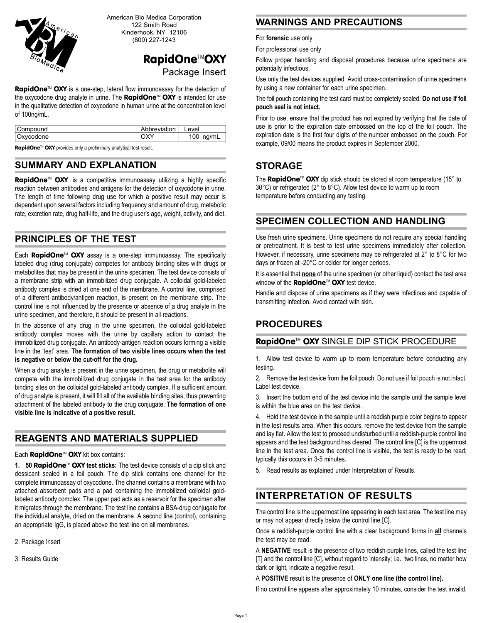

American Bio Medica Corporation 122 Smith Road Kinderhook, NY 12106 (800) 227-1243

# RapidOne™OXY Package Insert

**RapidOne**<sup>M</sup> OXY is a one-step, lateral flow immunoassay for the detection of the oxycodone drug analyte in urine. The **RapidOne**<sup> $M$ </sup> OXY is intended for use in the qualitative detection of oxycodone in human urine at the concentration level of 100ng/mL.

| Compound  | Abbreviation | Level       |
|-----------|--------------|-------------|
| Oxycodone | <b>OXY</b>   | 100 $ng/mL$ |

RapidOne™ OXY provides only a preliminary analytical test result.

### **SUMMARY AND EXPLANATION**

RapidOne™ OXY is a competitive immunoassay utilizing a highly specific reaction between antibodies and antigens for the detection of oxycodone in urine. The length of time following drug use for which a positive result may occur is dependent upon several factors including frequency and amount of drug, metabolic rate, excretion rate, drug half-life, and the drug user's age, weight, activity, and diet.

### **PRINCIPLES OF THE TEST**

Each **RapidOne**<sup>M</sup> OXY assay is a one-step immunoassay. The specifically labeled drug (drug conjugate) competes for antibody binding sites with drugs or metabolites that may be present in the urine specimen. The test device consists of a membrane strip with an immobilized drug conjugate. A colloidal gold-labeled antibody complex is dried at one end of the membrane. A control line, comprised of a different antibody/antigen reaction, is present on the membrane strip. The control line is not influenced by the presence or absence of a drug analyte in the urine specimen, and therefore, it should be present in all reactions.

In the absence of any drug in the urine specimen, the colloidal gold-labeled antibody complex moves with the urine by capillary action to contact the immobilized drug conjugate. An antibody-antigen reaction occurs forming a visible line in the 'test' area. The formation of two visible lines occurs when the test **is negative or below the cut-off for the drug.**

When a drug analyte is present in the urine specimen, the drug or metabolite will compete with the immobilized drug conjugate in the test area for the antibody binding sites on the colloidal gold-labeled antibody complex. If a sufficient amount of drug analyte is present, it will fill all of the available binding sites, thus preventing attachment of the labeled antibody to the drug conjugate. **The formation of one visible line is indicative of a positive result.**

# **REAGENTS AND MATERIALS SUPPLIED**

#### Each RapidOne™ OXY kit box contains:

**1. 50 RapidOne™ OXY test sticks:** The test device consists of a dip stick and dessicant sealed in a foil pouch. The dip stick contains one channel for the complete immunoassay of oxycodone. The channel contains a membrane with two attached absorbent pads and a pad containing the immobilized colloidal goldlabeled antibody complex. The upper pad acts as a reservoir for the specimen after it migrates through the membrane. The test line contains a BSA-drug conjugate for the individual analyte, dried on the membrane. A second line (control), containing an appropriate IgG, is placed above the test line on all membranes.

2. Package Insert

3. Results Guide

### **WARNINGS AND PRECAUTIONS**

For **forensic** use only

For professional use only

Follow proper handling and disposal procedures because urine specimens are potentially infectious.

Use only the test devices supplied. Avoid cross-contamination of urine specimens by using a new container for each urine specimen.

The foil pouch containing the test card must be completely sealed. **Do not use if foil pouch seal is not intact.**

Prior to use, ensure that the product has not expired by verifying that the date of use is prior to the expiration date embossed on the top of the foil pouch. The expiration date is the first four digits of the number embossed on the pouch. For example, 09/00 means the product expires in September 2000.

## **STORAGE**

The RapidOne<sup>™</sup> OXY dip stick should be stored at room temperature (15° to 30°C) or refrigerated (2° to 8°C). Allow test device to warm up to room temperature before conducting any testing.

### **SPECIMEN COLLECTION AND HANDLING**

Use fresh urine specimens. Urine specimens do not require any special handling or pretreatment. It is best to test urine specimens immediately after collection. However, if necessary, urine specimens may be refrigerated at 2° to 8°C for two days or frozen at -20°C or colder for longer periods.

It is essential that **none** of the urine specimen (or other liquid) contact the test area window of the RapidOne™ OXY test device.

Handle and dispose of urine specimens as if they were infectious and capable of transmitting infection. Avoid contact with skin.

## **PROCEDURES**

#### RapidOne™ OXY SINGLE DIP STICK PROCEDURE

1. Allow test device to warm up to room temperature before conducting any testing.

2. Remove the test device from the foil pouch. Do not use if foil pouch is not intact. Label test device.

3. Insert the bottom end of the test device into the sample until the sample level is within the blue area on the test device.

4. Hold the test device in the sample until a reddish purple color begins to appear in the test results area. When this occurs, remove the test device from the sample and lay flat. Allow the test to proceed undisturbed until a reddish-purple control line appears and the test background has cleared. The control line [C] is the uppermost line in the test area. Once the control line is visible, the test is ready to be read; typically this occurs in 3-5 minutes.

5. Read results as explained under Interpretation of Results.

## **INTERPRETATION OF RESULTS**

The control line is the uppermost line appearing in each test area. The test line may or may not appear directly below the control line [C].

Once a reddish-purple control line with a clear background forms in **all** channels the test may be read.

A **NEGATIVE** result is the presence of two reddish-purple lines, called the test line [T] and the control line [C], without regard to intensity; i.e., two lines, no matter how dark or light, indicate a negative result.

A **POSITIVE** result is the presence of **ONLY one line (the control line).**

If no control line appears after approximately 10 minutes, consider the test invalid.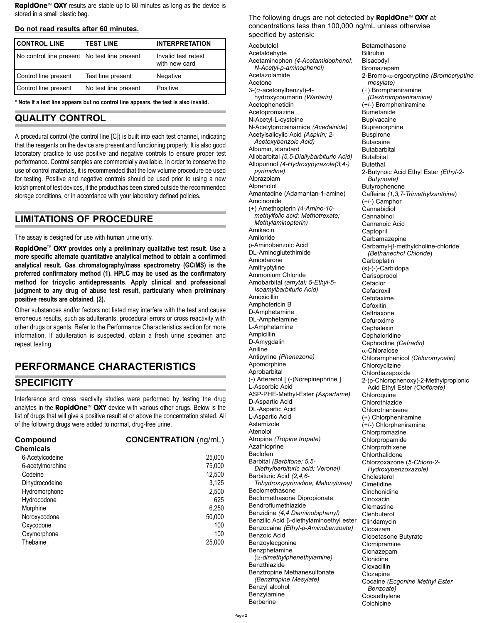**RapidOne**<sup>M</sup> OXY results are stable up to 60 minutes as long as the device is stored in a small plastic bag.

#### **Do not read results after 60 minutes.**

| <b>CONTROL LINE</b>                          | <b>TEST LINE</b>     | <b>INTERPRETATION</b>                |
|----------------------------------------------|----------------------|--------------------------------------|
| No control line present No test line present |                      | Invalid test retest<br>with new card |
| Control line present                         | Test line present    | Negative                             |
| Control line present                         | No test line present | Positive                             |

**\* Note If a test line appears but no control line appears, the test is also invalid.**

#### **QUALITY CONTROL**

A procedural control (the control line [C]) is built into each test channel, indicating that the reagents on the device are present and functioning properly. It is also good laboratory practice to use positive and negative controls to ensure proper test performance. Control samples are commercially available. In order to conserve the use of control materials, it is recommended that the low volume procedure be used for testing. Positive and negative controls should be used prior to using a new lot/shipment of test devices, if the product has been stored outside the recommended storage conditions, or in accordance with your laboratory defined policies.

#### **LIMITATIONS OF PROCEDURE**

The assay is designed for use with human urine only.

**RapidOne™ OXY** provides only a preliminary qualitative test result. Use a **more specific alternate quantitative analytical method to obtain a confirmed analytical result. Gas chromatography/mass spectrometry (GC/MS) is the preferred confirmatory method (1). HPLC may be used as the confirmatory method for tricyclic antidepressants. Apply clinical and professional judgment to any drug of abuse test result, particularly when preliminary positive results are obtained. (2).**

Other substances and/or factors not listed may interfere with the test and cause erroneous results, such as adulterants, procedural errors or cross reactivity with other drugs or agents. Refer to the Performance Characteristics section for more information. If adulteration is suspected, obtain a fresh urine specimen and repeat testing.

# **PERFORMANCE CHARACTERISTICS**

#### **SPECIFICITY**

Interference and cross reactivity studies were performed by testing the drug analytes in the RapidOne<sup>™</sup> OXY device with various other drugs. Below is the list of drugs that will give a positive result at or above the concentration stated. All of the following drugs were added to normal, drug-free urine.

| Compound<br><b>Chemicals</b> | <b>CONCENTRATION</b> (ng/mL) |
|------------------------------|------------------------------|
| 6-Acetylcodeine              | 25,000                       |
| 6-acetylmorphine             | 75,000                       |
| Codeine                      | 12.500                       |
| Dihydrocodeine               | 3,125                        |
| Hydromorphone                | 2,500                        |
| Hydrocodone                  | 625                          |
| Morphine                     | 6,250                        |
| Noroxycodone                 | 50.000                       |
| Oxycodone                    | 100                          |
| Oxymorphone                  | 100                          |
| Thebaine                     | 25,000                       |

The following drugs are not detected by RapidOne<sup>™</sup> OXY at concentrations less than 100,000 ng/mL unless otherwise specified by asterisk:

Acebutolol Acetaldehyde Acetaminophen *(4-Acetamidophenol; N-Acetyl-p-aminophenol)* Acetazolamide Acetone 3-(α-acetonylbenzyl)-4 hydroxycoumarin *(Warfarin)* Acetophenetidin Acetopromazine N-Acetyl-L-cysteine N-Acetylprocainamide *(Acedainide)* Acetylsalicylic Acid *(Aspirin; 2- Acetoxybenzoic Acid)* Albumin, standard Allobarbital *(5,5-Diallybarbituric Acid)* Allopurinol *(4-Hydroxypyrazole(3,4-) pyrimidine)*  Alprazolam Alprenolol Amantadine (Adamantan-1-amine) Amcinonide (+) Amethopterin *(4-Amino-10 methylfolic acid; Methotrexate; Methylaminopterin)*  Amikacin Amiloride p-Aminobenzoic Acid DL-Aminoglutethimide Amiodarone Amitryptyline Ammonium Chloride Amobarbital *(amytal; 5-Ethyl-5- Isoamylbarbituric Acid)* Amoxicillin Amphotericin B D-Amphetamine DL-Amphetamine L-Amphetamine Ampicillin D-Amygdalin Aniline Antipyrine *(Phenazone)* Apomorphine Aprobarbital (-) Arterenol [ (-)Norepinephrine ] L-Ascorbic Acid ASP-PHE-Methyl-Ester *(Aspartame)* D-Aspartic Acid DL-Aspartic Acid L-Aspartic Acid Astemizole Atenolol Atropine *(Tropine tropate)* Azathioprine Baclofen Barbital *(Barbitone; 5,5- Diethylbarbituric acid; Veronal)* Barbituric Acid *(2,4,6- Trihydroxypyrimidine; Malonylurea)* Beclomethasone Beclomethasone Dipropionate Bendroflumethiazide Benzidine *(4,4 Diaminobiphenyl)* Benzilic Acid β-diethylaminoethyl ester Benzocaine *(Ethyl-p-Aminobenzoate)* Benzoic Acid Benzoylecgonine Benzphetamine (α*-dimethylphenethylamine)* Benzthiazide Benztropine Methanesulfonate *(Benztropine Mesylate)* Benzyl alcohol Benzylamine Berberine

Betamethasone Bilirubin Bisacodyl Bromazepam 2-Bromo-α-ergocryptine *(Bromocryptine mesylate)* (+) Brompheniramine *(Dexbrompheniramine)* (+/-) Brompheniramine Bumetanide **Bunivacaine** Buprenorphine Buspirone Butacaine Butabarbital **Butalbital** Butethal 2-Butynoic Acid Ethyl Ester *(Ethyl-2- Butynoate)* Butyrophenone Caffeine *(1,3,7-Trimethylxanthine*) (+/-) Camphor Cannabidiol **Cannabinol** Canrenoic Acid Captopril Carbamazepine Carbamyl-β-methylcholine-chloride *(Bethanechol Chloride*) **Carboplatin** (s)-(-)-Carbidopa Carisoprodol **Cefaclor** Cefadroxil Cefotaxime **Cefoxitin Ceftriaxone** Cefuroxime **Cephalexin Cephaloridine** Cephradine *(Cefradin)* α-Chloralose Chloramphenicol *(Chloromycetin)* Chlorcyclizine Chlordiazepoxide 2-(p-Chlorophenoxy)-2-Methylpropionic Acid Ethyl Ester *(Clofibrate)* **Chloroquine** Chlorothiazide Chlorotrianisene (+) Chlorpheniramine (+/-) Chlorpheniramine Chlorpromazine Chlorpropamide **Chlorprothixene** Chlorthalidone Chlorzoxazone (*5-Chloro-2- Hydroxybenzoxazole)* Cholesterol Cimetidine Cinchonidine Cinoxacin **Clemastine Clenbuterol** Clindamycin Clobazam Clobetasone Butyrate Clomipramine Clonazepam Clonidine Cloxacillin Clozapine Cocaine *(Ecgonine Methyl Ester Benzoate)* **Cocaethylene Colchicine**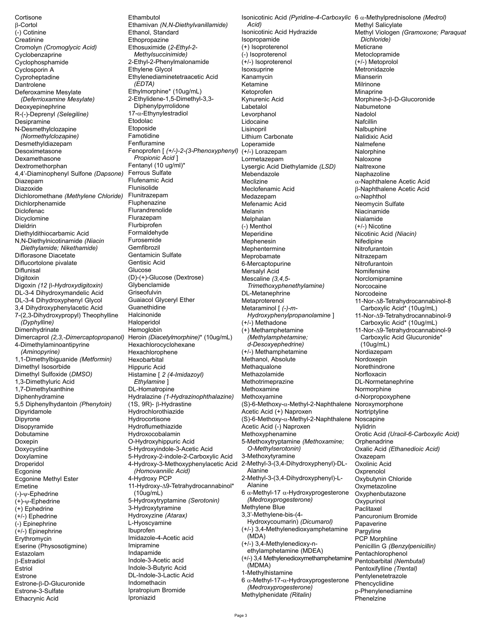Cortisone  $\beta$ -Cortol (-) Cotinine Creatinine Cromolyn (Cromoglycic Acid) Cyclobenzaprine Cyclophosphamide Cyclosporin A Cyproheptadine Dantrolene Deferoxamine Mesylate (Deferrioxamine Mesylate) Deoxyepinephrine R-(-)-Deprenyl (Selegiline) Desipramine N-Desmethylclozapine (Normethylclozapine) Desmethyldiazepam Desoximetasone Dexamethasone Dextromethorphan 4,4'-Diaminophenyl Sulfone (Dapsone) Diazepam Diazoxide Dichloromethane (Methylene Chloride) Dichlorphenamide **Diclofenac** Dicyclomine Dieldrin Diethyldithiocarbamic Acid N,N-Diethylnicotinamide (Niacin Diethylamide; Nikethamide) Diflorasone Diacetate Diflucortolone pivalate Diflunisal Digitoxin Digoxin (12 β-Hydroxydigitoxin) DL-3-4 Dihydroxymandelic Acid DL-3-4 Dihydroxyphenyl Glycol 3,4 Dihydroxyphenylacetic Acid 7-(2,3-Dihydroxypropyl) Theophylline (Dyphylline) Dimenhydrinate Dimercaprol (2,3,-Dimercaptopropanol) 4-Dimethylaminoantipyrine (Aminopyrine) 1,1-Dimethylbiguanide (Metformin) Dimethyl Isosorbide Dimethyl Sulfoxide (DMSO) 1,3-Dimethyluric Acid 1,7-Dimethylxanthine Diphenhydramine 5,5 Diphenylhydantoin (Phenytoin) Dipyridamole Dipyrone Disopyramide Dobutamine Doxepin Doxycycline Doxylamine Droperidol Ecgonine Ecgonine Methyl Ester Emetine  $(-)-\psi$ -Ephedrine  $(+)-\psi$ -Ephedrine (+) Ephedrine (+/-) Ephedrine (-) Epinephrine (+/-) Epinephrine Ervthromvcin Eserine (Physosotigmine) Estazolam **B-Estradiol** Estriol Estrone Estrone-ß-D-Glucuronide Estrone-3-Sulfate **Ethacrynic Acid** 

Fthambutol Ethamivan (N, N-Diethylvanillamide) Ethanol, Standard Ethopropazine Ethosuximide (2-Ethyl-2-Methylsuccinimide) 2-Ethyl-2-Phenylmalonamide Ethylene Glycol Ethylenediaminetetraacetic Acid  $(EDTA)$ Ethylmorphine\* (10ug/mL) 2-Ethylidene-1,5-Dimethyl-3,3-Diphenylpyrrolidone 17-a-Ethynylestradiol Etodolac Etoposide **Famotidine** Fenfluramine Fenoprofen [ (+/-)-2-(3-Phenoxyphenyl) Propionic Acid 1 Fentanyl (10 ug/ml)\* Ferrous Sulfate Flufenamic Acid Flunisolide Flunitrazepam Fluphenazine Flurandrenolide Flurazepam Flurbiprofen Formaldehyde Furosemide Gemfibrozil Gentamicin Sulfate Gentisic Acid Glucose (D)-(+)-Glucose (Dextrose) Glybenclamide Griseofulvin **Guaiacol Glyceryl Ether** Guanethidine Halcinonide Haloperidol Hemoglobin Heroin (Diacetylmorphine)\* (10uq/mL) Hexachlorocyclohexane Hexachlorophene Hexobarbital **Hippuric Acid** Histamine [ 2 (4-Imidazoyl) Ethylamine ] DL-Homatropine Hydralazine (1-Hydrazinophthalazine)  $(1S, 9R)$ -  $\beta$ -Hydrastine Hydrochlorothiazide Hydrocortisone Hydroflumethiazide Hydroxocobalamin O-Hydroxyhippuric Acid 5-Hydroxyindole-3-Acetic Acid 5-Hydroxy-2-indole-2-Carboxylic Acid 4-Hydroxy-3-Methoxyphenylacetic Acid (Homovannilic Acid) 4-Hydroxy PCP 11-Hydroxy-A9-Tetrahydrocannabinol\*  $(10uq/mL)$ 5-Hydroxytryptamine (Serotonin) 3-Hydroxytyramine Hydroxyzine (Atarax) L-Hyoscyamine Ibuprofen Imidazole-4-Acetic acid Imipramine Indapamide Indole-3-Acetic acid Indole-3-Butyric Acid DL-Indole-3-Lactic Acid Indomethacin Ipratropium Bromide

Isonicotinic Acid (Pyridine-4-Carboxylic  $6 \alpha$ -Methylprednisolone (Medrol) Acid) Isonicotinic Acid Hydrazide Isopropamide  $(+)$  Isoproterenol (-) Isoproterenol (+/-) Isoproterenol *soxsuprine* Kanamycin Ketamine Ketoprofen Kynurenic Acid Labetalol Levorphanol Lidocaine Lisinopril Lithium Carbonate I operamide (+/-) Lorazepam Lormetazepam Lysergic Acid Diethylamide (LSD) Mebendazole Meclizine Meclofenamic Acid Medazepam Mefenamic Acid Melanin Melphalan (-) Menthol Meperidine Mephenesin Mephentermine Meprobamate 6-Mercaptopurine Mersalyl Acid Mescaline (3.4.5-Trimethoxyphenethylamine) DL-Metanephrine Metaproterenol Metaraminol [ (-)-m-Hydroxyphenylpropanolamine] (+/-) Methadone (+) Methamphetamine (Methylamphetamine: d-Desoxyephedrine) (+/-) Methamphetamine Methanol, Absolute Methaqualone Methazolamide Methotrimeprazine Methoxamine Methoxyamine (S)-6-Methoxy-α-Methyl-2-Naphthalene Noroxymorphone Acetic Acid (+) Naproxen (S)-6-Methoxy-α-Methyl-2-Naphthalene Noscapine Acetic Acid (-) Naproxen Methoxyphenamine 5-Methoxytryptamine (Methoxamine; O-Methylserotonin) 3-Methoxytyramine 2-Methyl-3-(3,4-Dihydroxyphenyl)-DL-Alanine 2-Methyl-3-(3,4-Dihydroxyphenyl)-L-Alanine 6  $\alpha$ -Methyl-17  $\alpha$ -Hydroxyprogesterone (Medroxyprogesterone) Methylene Blue 3,3'-Methylene-bis-(4-Hydroxycoumarin) (Dicumarol) (+/-) 3,4-Methylenedioxyamphetamine (MDA) (+/-) 3.4-Methylenedioxy-nethylamphetamine (MDEA) (+/-) 3,4 Methylenedioxymethamphetamine (MDMA) 1-Methylhistamine 6  $\alpha$ -Methyl-17- $\alpha$ -Hydroxyprogesterone (Medroxyprogesterone) Methylphenidate (Ritalin)

Methyl Salicylate Methyl Viologen (Gramoxone: Paraguat Dichloride) Meticrane Metoclopramide (+/-) Metoprolol Metronidazole Mianserin Milrinone Minaprine Morphine-3-β-D-Glucoronide Nabumetone Nadolol Nafcillin Nalbuphine Nalidixic Acid Nalmefene Nalorphine Naloxone Naltrexone Naphazoline  $\alpha$ -Naphthalene Acetic Acid β-Naphthalene Acetic Acid  $\alpha$ -Naphthol Neomycin Sulfate Niacinamide Nialamide (+/-) Nicotine Nicotinic Acid (Niacin) Nifedipine Nitrofurantoin Nitrazepam Nitrofurantoin Nomifensine Norclomipramine Norcocaine Norcodeine 11-Nor-A8-Tetrahydrocannabinol-8 Carboxylic Acid\* (10ug/mL) 11-Nor-A9-Tetrahydrocannabinol-9 Carboxylic Acid<sup>\*</sup> (10ug/mL) 11-Nor-A9-Tetrahydrocannabinol-9 Carboxylic Acid Glucuronide\*  $(10uq/mL)$ Nordiazepam Nordoxepin Norethindrone Norfloxacin DL-Normetanephrine Normorphine d-Norpropoxyphene Nortriptyline Nylidrin Orotic Acid (Uracil-6-Carboxylic Acid) Orphenadrine Oxalic Acid (Ethanedioic Acid) Oxazepam Oxolinic Acid Oxprenolol Oxybutynin Chloride Oxvmetazoline Oxyphenbutazone Oxypurinol Paclitaxel Pancuronium Bromide Papaverine Pargyline PCP Morphline Penicillin G (Benzylpenicillin) Pentachlorophenol Pentobarbital (Nembutal) Pentoxifylline (Trental) Pentylenetetrazole Phencyclidine p-Phenylenediamine Phenelzine

Iproniazid